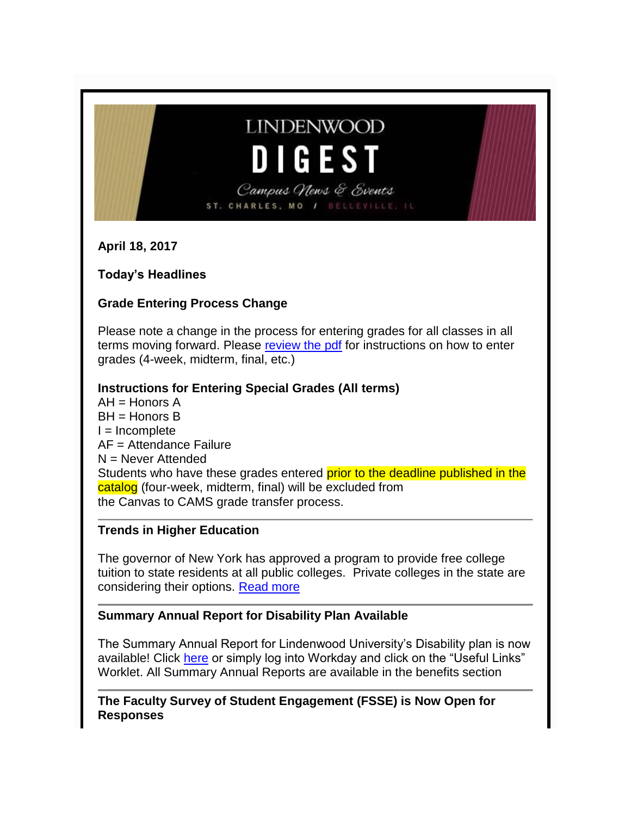# **LINDENWOOD** DIGEST

Campus News & Events ST. CHARLES, MO / BELLEVILLE,

**April 18, 2017**

**Today's Headlines**

# **Grade Entering Process Change**

Please note a change in the process for entering grades for all classes in all terms moving forward. Please [review the pdf](http://felix.lindenwood.edu/newsletter/2017_04/newspecialgradesguide.pdf) for instructions on how to enter grades (4-week, midterm, final, etc.)

# **Instructions for Entering Special Grades (All terms)**

AH = Honors A BH = Honors B  $I = Incomplete$ AF = Attendance Failure N = Never Attended Students who have these grades entered prior to the deadline published in the catalog (four-week, midterm, final) will be excluded from the Canvas to CAMS grade transfer process.

# **Trends in Higher Education**

The governor of New York has approved a program to provide free college tuition to state residents at all public colleges. Private colleges in the state are considering their options. [Read more](https://www.insidehighered.com/news/2017/04/13/new-yorks-free-tuition-plan-leaves-private-colleges-uncertain-about-future)

# **Summary Annual Report for Disability Plan Available**

The Summary Annual Report for Lindenwood University's Disability plan is now available! Click [here](http://felix.lindenwood.edu/newsletter/2017_04/summaryannualreport.pdf) or simply log into Workday and click on the "Useful Links" Worklet. All Summary Annual Reports are available in the benefits section

**The Faculty Survey of Student Engagement (FSSE) is Now Open for Responses**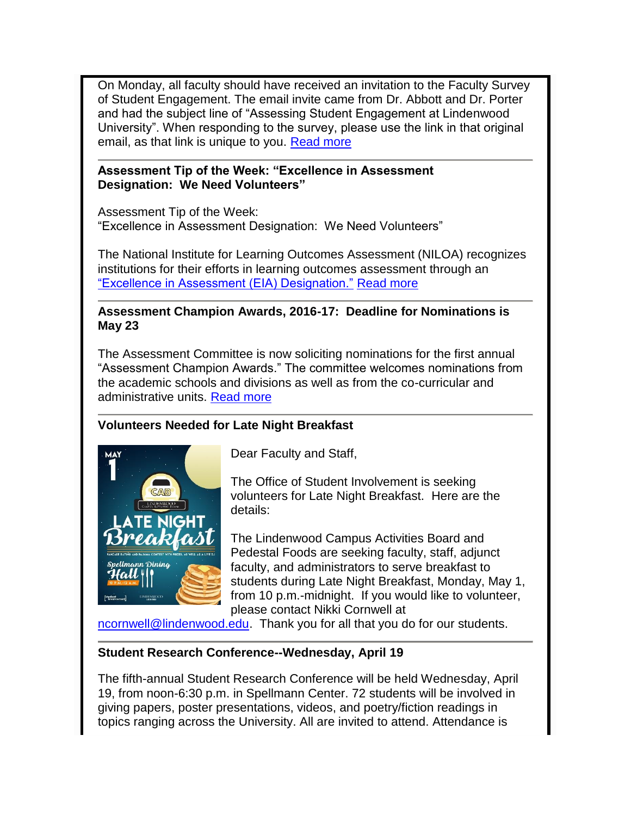On Monday, all faculty should have received an invitation to the Faculty Survey of Student Engagement. The email invite came from Dr. Abbott and Dr. Porter and had the subject line of "Assessing Student Engagement at Lindenwood University". When responding to the survey, please use the link in that original email, as that link is unique to you. [Read more](http://felix.lindenwood.edu/newsletter/2017_04/fsse.pdf)

#### **Assessment Tip of the Week: "Excellence in Assessment Designation: We Need Volunteers"**

Assessment Tip of the Week: "Excellence in Assessment Designation: We Need Volunteers"

The National Institute for Learning Outcomes Assessment (NILOA) recognizes institutions for their efforts in learning outcomes assessment through an ["Excellence in Assessment \(EIA\) Designation."](http://www.learningoutcomesassessment.org/eiadesignation.html) [Read more](http://felix.lindenwood.edu/newsletter/2017_04/assessment_04_18.pdf)

#### **Assessment Champion Awards, 2016-17: Deadline for Nominations is May 23**

The Assessment Committee is now soliciting nominations for the first annual "Assessment Champion Awards." The committee welcomes nominations from the academic schools and divisions as well as from the co-curricular and administrative units. [Read more](http://felix.lindenwood.edu/newsletter/2017_04/assessmentchampion.pdf)

# **Volunteers Needed for Late Night Breakfast**



Dear Faculty and Staff,

The Office of Student Involvement is seeking volunteers for Late Night Breakfast. Here are the details:

The Lindenwood Campus Activities Board and Pedestal Foods are seeking faculty, staff, adjunct faculty, and administrators to serve breakfast to students during Late Night Breakfast, Monday, May 1, from 10 p.m.-midnight. If you would like to volunteer, please contact Nikki Cornwell at

[ncornwell@lindenwood.edu.](mailto:ncornwell@lindenwood.edu) Thank you for all that you do for our students.

# **Student Research Conference--Wednesday, April 19**

The fifth-annual Student Research Conference will be held Wednesday, April 19, from noon-6:30 p.m. in Spellmann Center. 72 students will be involved in giving papers, poster presentations, videos, and poetry/fiction readings in topics ranging across the University. All are invited to attend. Attendance is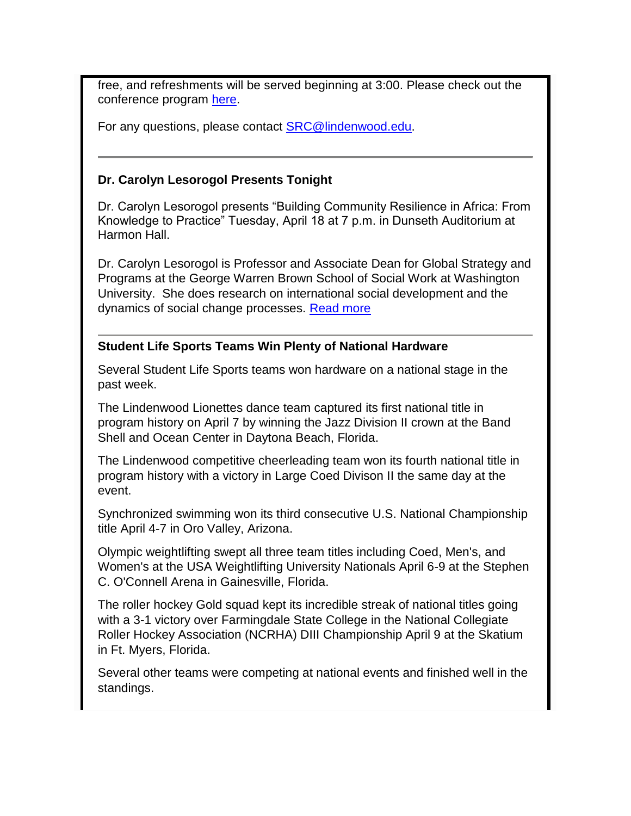free, and refreshments will be served beginning at 3:00. Please check out the conference program [here.](http://www.lindenwood.edu/academics/beyond-the-classroom/student-research/)

For any questions, please contact [SRC@lindenwood.edu.](mailto:SRC@lindenwood.edu)

#### **Dr. Carolyn Lesorogol Presents Tonight**

Dr. Carolyn Lesorogol presents "Building Community Resilience in Africa: From Knowledge to Practice" Tuesday, April 18 at 7 p.m. in Dunseth Auditorium at Harmon Hall.

Dr. Carolyn Lesorogol is Professor and Associate Dean for Global Strategy and Programs at the George Warren Brown School of Social Work at Washington University. She does research on international social development and the dynamics of social change processes. [Read more](http://www.lindenwood.edu/academics/centers-institutes/center-for-international-and-global-studies/speaker-series/dr-carolyn-lesorogol-april-18/)

#### **Student Life Sports Teams Win Plenty of National Hardware**

Several Student Life Sports teams won hardware on a national stage in the past week.

The Lindenwood Lionettes dance team captured its first national title in program history on April 7 by winning the Jazz Division II crown at the Band Shell and Ocean Center in Daytona Beach, Florida.

The Lindenwood competitive cheerleading team won its fourth national title in program history with a victory in Large Coed Divison II the same day at the event.

Synchronized swimming won its third consecutive U.S. National Championship title April 4-7 in Oro Valley, Arizona.

Olympic weightlifting swept all three team titles including Coed, Men's, and Women's at the USA Weightlifting University Nationals April 6-9 at the Stephen C. O'Connell Arena in Gainesville, Florida.

The roller hockey Gold squad kept its incredible streak of national titles going with a 3-1 victory over Farmingdale State College in the National Collegiate Roller Hockey Association (NCRHA) DIII Championship April 9 at the Skatium in Ft. Myers, Florida.

Several other teams were competing at national events and finished well in the standings.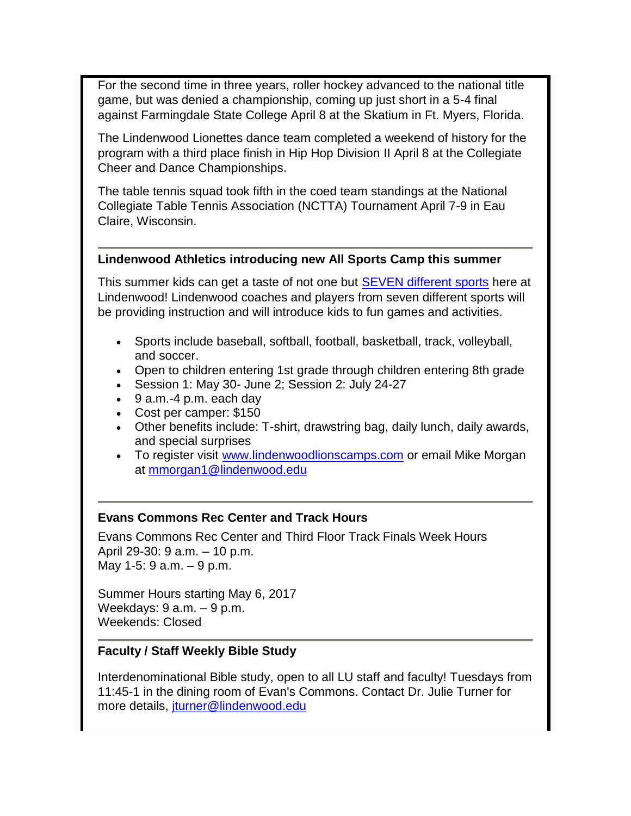For the second time in three years, roller hockey advanced to the national title game, but was denied a championship, coming up just short in a 5-4 final against Farmingdale State College April 8 at the Skatium in Ft. Myers, Florida.

The Lindenwood Lionettes dance team completed a weekend of history for the program with a third place finish in Hip Hop Division II April 8 at the Collegiate Cheer and Dance Championships.

The table tennis squad took fifth in the coed team standings at the National Collegiate Table Tennis Association (NCTTA) Tournament April 7-9 in Eau Claire, Wisconsin.

#### **Lindenwood Athletics introducing new All Sports Camp this summer**

This summer kids can get a taste of not one but **SEVEN** different sports here at Lindenwood! Lindenwood coaches and players from seven different sports will be providing instruction and will introduce kids to fun games and activities.

- Sports include baseball, softball, football, basketball, track, volleyball, and soccer.
- Open to children entering 1st grade through children entering 8th grade
- Session 1: May 30- June 2; Session 2: July 24-27
- 9 a.m.-4 p.m. each day
- Cost per camper: \$150
- Other benefits include: T-shirt, drawstring bag, daily lunch, daily awards, and special surprises
- To register visit [www.lindenwoodlionscamps.com](http://www.lindenwoodlionscamps.com/) or email Mike Morgan at [mmorgan1@lindenwood.edu](mailto:mmorgan1@lindenwood.edu)

#### **Evans Commons Rec Center and Track Hours**

Evans Commons Rec Center and Third Floor Track Finals Week Hours April 29-30: 9 a.m. – 10 p.m. May 1-5: 9 a.m. – 9 p.m.

Summer Hours starting May 6, 2017 Weekdays: 9 a.m. – 9 p.m. Weekends: Closed

#### **Faculty / Staff Weekly Bible Study**

Interdenominational Bible study, open to all LU staff and faculty! Tuesdays from 11:45-1 in the dining room of Evan's Commons. Contact Dr. Julie Turner for more details, [jturner@lindenwood.edu](mailto:jturner@lindenwood.edu)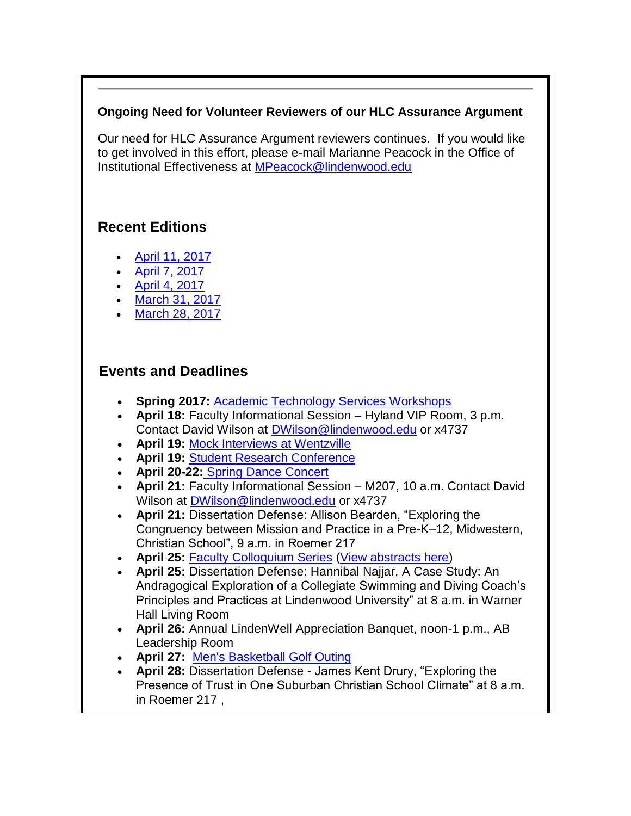### **Ongoing Need for Volunteer Reviewers of our HLC Assurance Argument**

Our need for HLC Assurance Argument reviewers continues. If you would like to get involved in this effort, please e-mail Marianne Peacock in the Office of Institutional Effectiveness at [MPeacock@lindenwood.edu](mailto:MPeacock@lindenwood.edu)

# **Recent Editions**

- [April 11, 2017](http://felix.lindenwood.edu/newsletter/digest/2017_04/2017_04_07.pdf)
- [April 7, 2017](http://felix.lindenwood.edu/newsletter/digest/2017_04/2017_04_07.pdf)
- [April 4, 2017](http://felix.lindenwood.edu/newsletter/digest/2017_04/2017_04_04.pdf)
- [March 31, 2017](http://felix.lindenwood.edu/newsletter/digest/2017_03/2017_03_31.pdf)
- [March 28, 2017](http://felix.lindenwood.edu/newsletter/digest/2017_03/2017_03_28.pdf)

# **Events and Deadlines**

- **Spring 2017:** [Academic Technology Services Workshops](http://felix.lindenwood.edu/newsletter/2017_01/spring2017workshops.pdf)
- **April 18:** Faculty Informational Session Hyland VIP Room, 3 p.m. Contact David Wilson at [DWilson@lindenwood.edu](mailto:DWilson@lindenwood.edu) or x4737
- **April 19:** [Mock Interviews at Wentzville](http://felix.lindenwood.edu/newsletter/2017_02/wentzville_interviews.pdf)
- **April 19:** [Student Research Conference](http://www.lindenwood.edu/academics/beyond-the-classroom/student-research/)
- **April 20-22:** [Spring Dance Concert](http://www.lindenwood.edu/j-scheidegger-center-for-the-arts/upcoming-events/dance/spring-dance-concert/)
- **April 21:** Faculty Informational Session M207, 10 a.m. Contact David Wilson at [DWilson@lindenwood.edu](mailto:DWilson@lindenwood.edu) or x4737
- **April 21:** Dissertation Defense: Allison Bearden, "Exploring the Congruency between Mission and Practice in a Pre-K–12, Midwestern, Christian School", 9 a.m. in Roemer 217
- **April 25:** [Faculty Colloquium Series](http://felix.lindenwood.edu/newsletter/2017_03/facultycolloquium.pdf) [\(View abstracts here\)](http://felix.lindenwood.edu/newsletter/2017_03/colloquiumabstracts.pdf)
- **April 25:** Dissertation Defense: Hannibal Najjar, A Case Study: An Andragogical Exploration of a Collegiate Swimming and Diving Coach's Principles and Practices at Lindenwood University" at 8 a.m. in Warner Hall Living Room
- **April 26:** Annual LindenWell Appreciation Banquet, noon-1 p.m., AB Leadership Room
- **April 27:** [Men's Basketball Golf Outing](http://felix.lindenwood.edu/newsletter/2017_03/mbkgolfouting.pdf)
- **April 28:** Dissertation Defense James Kent Drury, "Exploring the Presence of Trust in One Suburban Christian School Climate" at 8 a.m. in Roemer 217 ,